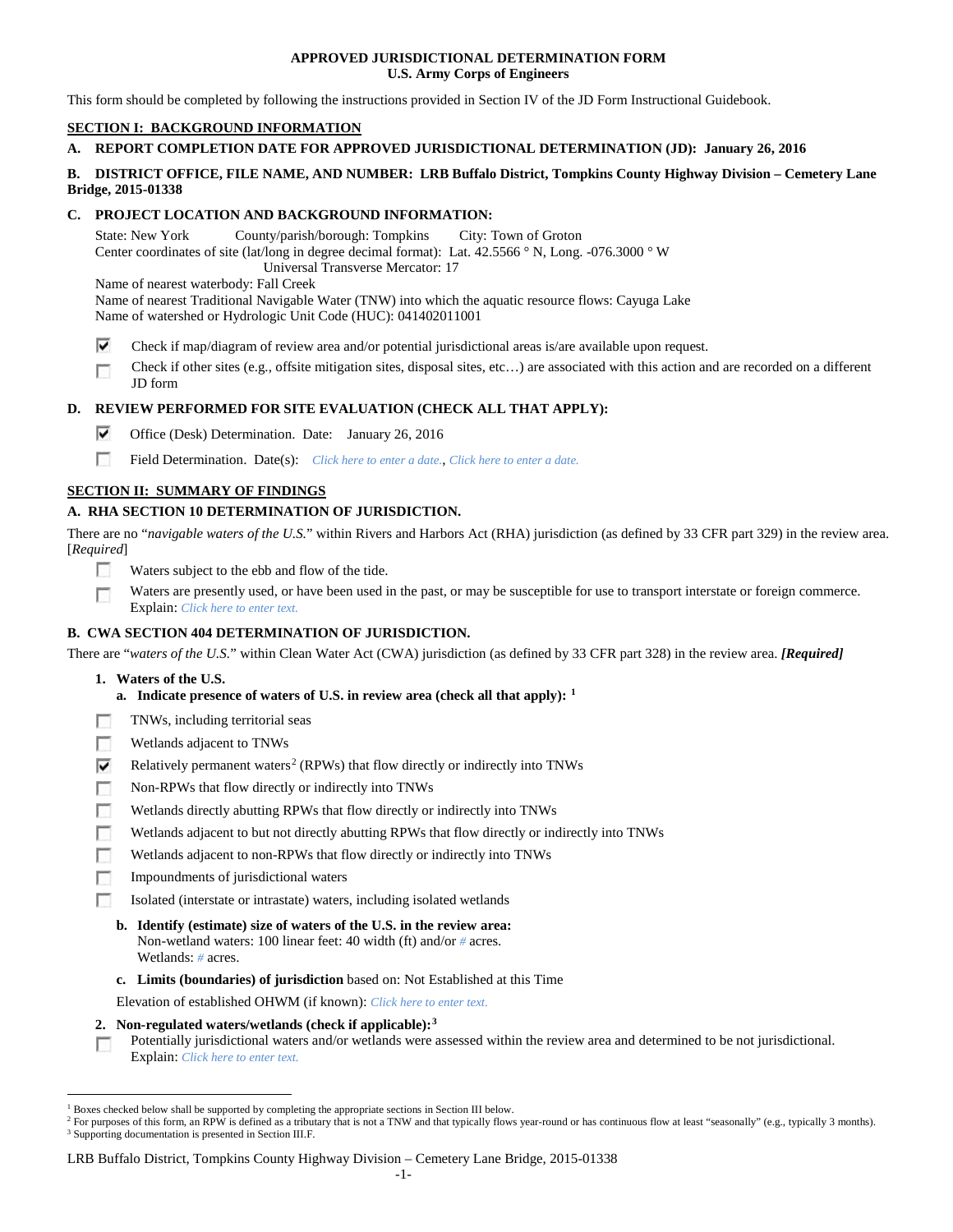## **APPROVED JURISDICTIONAL DETERMINATION FORM U.S. Army Corps of Engineers**

This form should be completed by following the instructions provided in Section IV of the JD Form Instructional Guidebook.

# **SECTION I: BACKGROUND INFORMATION**

# **A. REPORT COMPLETION DATE FOR APPROVED JURISDICTIONAL DETERMINATION (JD): January 26, 2016**

## **B. DISTRICT OFFICE, FILE NAME, AND NUMBER: LRB Buffalo District, Tompkins County Highway Division – Cemetery Lane Bridge, 2015-01338**

# **C. PROJECT LOCATION AND BACKGROUND INFORMATION:**

State: New York County/parish/borough: Tompkins City: Town of Groton Center coordinates of site (lat/long in degree decimal format): Lat. 42.5566 ° N, Long. -076.3000 ° W Universal Transverse Mercator: 17 Name of nearest waterbody: Fall Creek Name of nearest Traditional Navigable Water (TNW) into which the aquatic resource flows: Cayuga Lake

Name of watershed or Hydrologic Unit Code (HUC): 041402011001

- ⊽ Check if map/diagram of review area and/or potential jurisdictional areas is/are available upon request.
- Check if other sites (e.g., offsite mitigation sites, disposal sites, etc…) are associated with this action and are recorded on a different Г JD form

# **D. REVIEW PERFORMED FOR SITE EVALUATION (CHECK ALL THAT APPLY):**

- ⊽ Office (Desk) Determination. Date: January 26, 2016
- п Field Determination. Date(s): *Click here to enter a date.*, *Click here to enter a date.*

## **SECTION II: SUMMARY OF FINDINGS**

# **A. RHA SECTION 10 DETERMINATION OF JURISDICTION.**

There are no "*navigable waters of the U.S.*" within Rivers and Harbors Act (RHA) jurisdiction (as defined by 33 CFR part 329) in the review area. [*Required*]

- **IST** Waters subject to the ebb and flow of the tide.
- Waters are presently used, or have been used in the past, or may be susceptible for use to transport interstate or foreign commerce. Г Explain: *Click here to enter text.*

## **B. CWA SECTION 404 DETERMINATION OF JURISDICTION.**

There are "*waters of the U.S.*" within Clean Water Act (CWA) jurisdiction (as defined by 33 CFR part 328) in the review area. *[Required]*

- **1. Waters of the U.S.**
	- **a. Indicate presence of waters of U.S. in review area (check all that apply): [1](#page-0-0)**
- п TNWs, including territorial seas
- Wetlands adjacent to TNWs п
- ⊽ Relatively permanent waters<sup>[2](#page-0-1)</sup> (RPWs) that flow directly or indirectly into TNWs
- г Non-RPWs that flow directly or indirectly into TNWs
- Wetlands directly abutting RPWs that flow directly or indirectly into TNWs п
- г Wetlands adjacent to but not directly abutting RPWs that flow directly or indirectly into TNWs
- г Wetlands adjacent to non-RPWs that flow directly or indirectly into TNWs
- п Impoundments of jurisdictional waters
- Isolated (interstate or intrastate) waters, including isolated wetlands n.
	- **b. Identify (estimate) size of waters of the U.S. in the review area:** Non-wetland waters: 100 linear feet: 40 width (ft) and/or *#* acres. Wetlands: *#* acres.
	- **c. Limits (boundaries) of jurisdiction** based on: Not Established at this Time

Elevation of established OHWM (if known): *Click here to enter text.*

**2. Non-regulated waters/wetlands (check if applicable):[3](#page-0-2)**

Potentially jurisdictional waters and/or wetlands were assessed within the review area and determined to be not jurisdictional.  $\sim$ Explain: *Click here to enter text.*

#### LRB Buffalo District, Tompkins County Highway Division – Cemetery Lane Bridge, 2015-01338

<span id="page-0-0"></span> <sup>1</sup> Boxes checked below shall be supported by completing the appropriate sections in Section III below.

<span id="page-0-2"></span><span id="page-0-1"></span><sup>&</sup>lt;sup>2</sup> For purposes of this form, an RPW is defined as a tributary that is not a TNW and that typically flows year-round or has continuous flow at least "seasonally" (e.g., typically 3 months). <sup>3</sup> Supporting documentation is presented in Section III.F.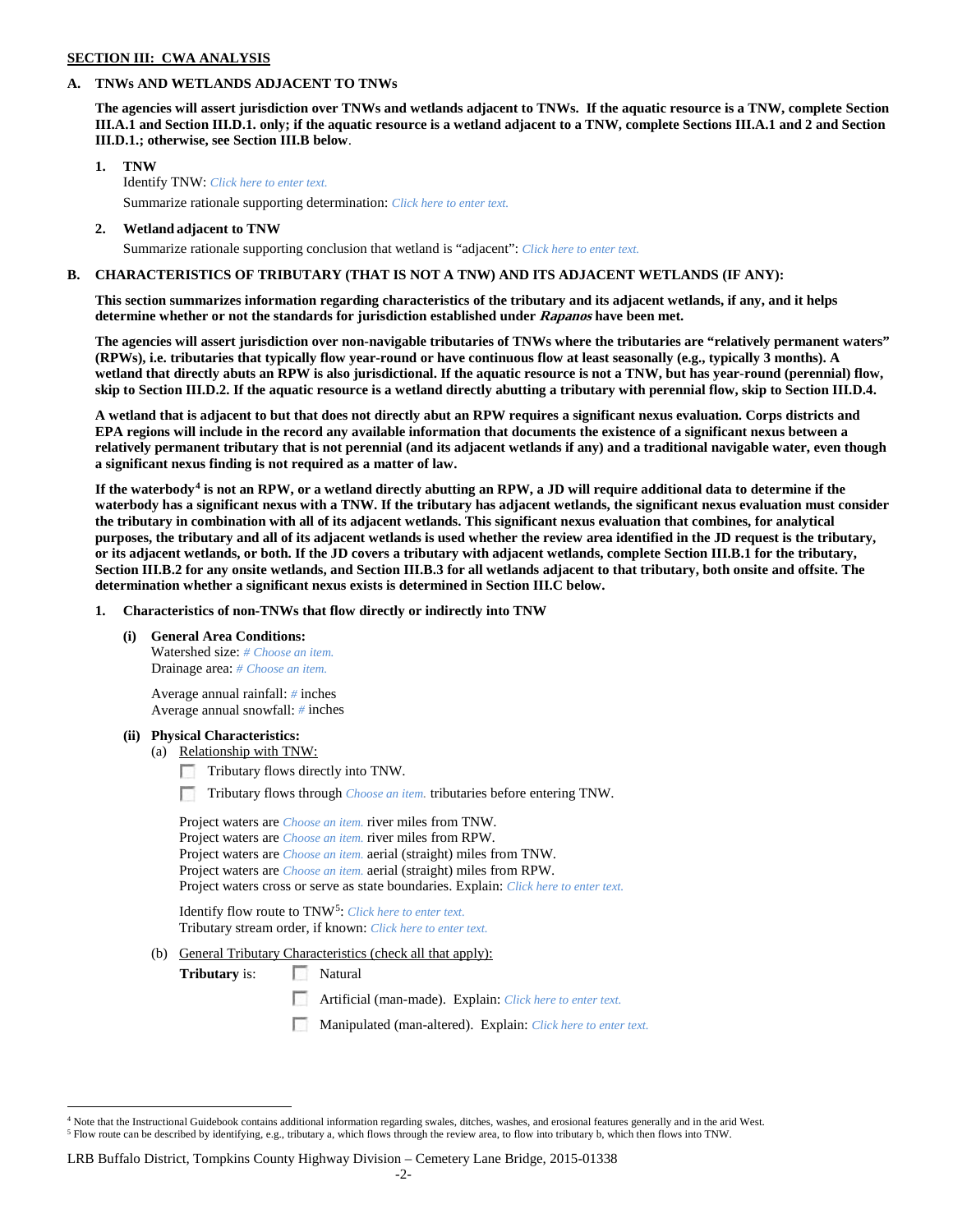## **SECTION III: CWA ANALYSIS**

## **A. TNWs AND WETLANDS ADJACENT TO TNWs**

**The agencies will assert jurisdiction over TNWs and wetlands adjacent to TNWs. If the aquatic resource is a TNW, complete Section III.A.1 and Section III.D.1. only; if the aquatic resource is a wetland adjacent to a TNW, complete Sections III.A.1 and 2 and Section III.D.1.; otherwise, see Section III.B below**.

- **1. TNW**  Identify TNW: *Click here to enter text.*
	- Summarize rationale supporting determination: *Click here to enter text.*
- **2. Wetland adjacent to TNW** Summarize rationale supporting conclusion that wetland is "adjacent": *Click here to enter text.*

## **B. CHARACTERISTICS OF TRIBUTARY (THAT IS NOT A TNW) AND ITS ADJACENT WETLANDS (IF ANY):**

**This section summarizes information regarding characteristics of the tributary and its adjacent wetlands, if any, and it helps determine whether or not the standards for jurisdiction established under Rapanos have been met.** 

**The agencies will assert jurisdiction over non-navigable tributaries of TNWs where the tributaries are "relatively permanent waters" (RPWs), i.e. tributaries that typically flow year-round or have continuous flow at least seasonally (e.g., typically 3 months). A wetland that directly abuts an RPW is also jurisdictional. If the aquatic resource is not a TNW, but has year-round (perennial) flow, skip to Section III.D.2. If the aquatic resource is a wetland directly abutting a tributary with perennial flow, skip to Section III.D.4.**

**A wetland that is adjacent to but that does not directly abut an RPW requires a significant nexus evaluation. Corps districts and EPA regions will include in the record any available information that documents the existence of a significant nexus between a relatively permanent tributary that is not perennial (and its adjacent wetlands if any) and a traditional navigable water, even though a significant nexus finding is not required as a matter of law.**

**If the waterbody[4](#page-1-0) is not an RPW, or a wetland directly abutting an RPW, a JD will require additional data to determine if the waterbody has a significant nexus with a TNW. If the tributary has adjacent wetlands, the significant nexus evaluation must consider the tributary in combination with all of its adjacent wetlands. This significant nexus evaluation that combines, for analytical purposes, the tributary and all of its adjacent wetlands is used whether the review area identified in the JD request is the tributary, or its adjacent wetlands, or both. If the JD covers a tributary with adjacent wetlands, complete Section III.B.1 for the tributary, Section III.B.2 for any onsite wetlands, and Section III.B.3 for all wetlands adjacent to that tributary, both onsite and offsite. The determination whether a significant nexus exists is determined in Section III.C below.**

**1. Characteristics of non-TNWs that flow directly or indirectly into TNW**

**(i) General Area Conditions:**

Watershed size: *# Choose an item.* Drainage area: *# Choose an item.*

Average annual rainfall: *#* inches Average annual snowfall: *#* inches

### **(ii) Physical Characteristics:**

- (a) Relationship with TNW:
	- Tributary flows directly into TNW.

n Tributary flows through *Choose an item.* tributaries before entering TNW.

Project waters are *Choose an item.* river miles from TNW. Project waters are *Choose an item.* river miles from RPW. Project waters are *Choose an item.* aerial (straight) miles from TNW. Project waters are *Choose an item.* aerial (straight) miles from RPW. Project waters cross or serve as state boundaries. Explain: *Click here to enter text.*

Identify flow route to TNW[5:](#page-1-1) *Click here to enter text.* Tributary stream order, if known: *Click here to enter text.*

(b) General Tributary Characteristics (check all that apply):

**Tributary** is: Natural

 $\sim$ Artificial (man-made). Explain: *Click here to enter text.*

Manipulated (man-altered). Explain: *Click here to enter text.*

<span id="page-1-1"></span><span id="page-1-0"></span> <sup>4</sup> Note that the Instructional Guidebook contains additional information regarding swales, ditches, washes, and erosional features generally and in the arid West. <sup>5</sup> Flow route can be described by identifying, e.g., tributary a, which flows through the review area, to flow into tributary b, which then flows into TNW.

LRB Buffalo District, Tompkins County Highway Division – Cemetery Lane Bridge, 2015-01338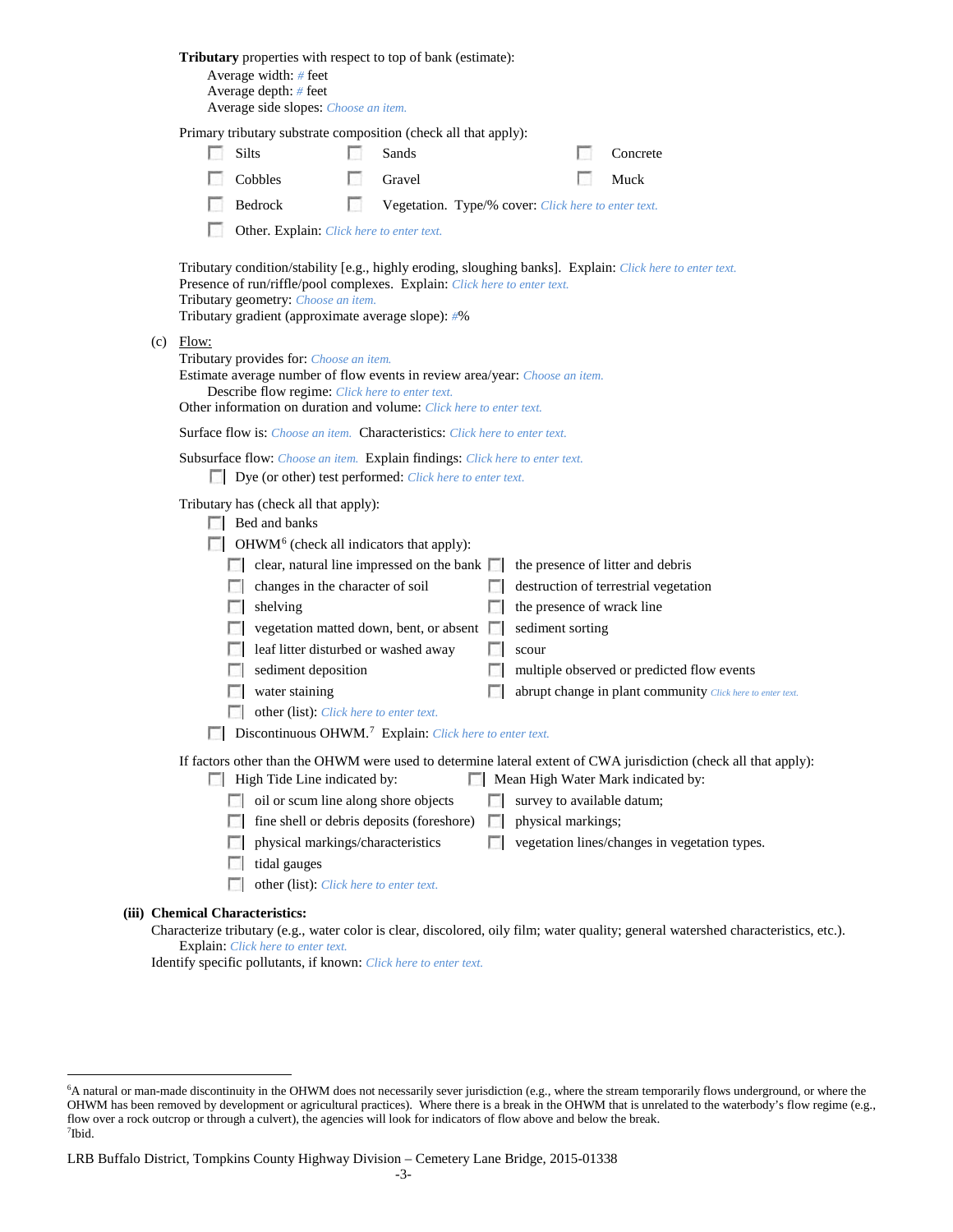|                                                                                                                                          | Average width: # feet<br>Average depth: # feet<br>Average side slopes: Choose an item.                                                                                                                                                                                              |    | <b>Tributary</b> properties with respect to top of bank (estimate):                       |        |                    |  |                                                                                                                                                        |  |  |  |  |  |
|------------------------------------------------------------------------------------------------------------------------------------------|-------------------------------------------------------------------------------------------------------------------------------------------------------------------------------------------------------------------------------------------------------------------------------------|----|-------------------------------------------------------------------------------------------|--------|--------------------|--|--------------------------------------------------------------------------------------------------------------------------------------------------------|--|--|--|--|--|
| Primary tributary substrate composition (check all that apply):                                                                          |                                                                                                                                                                                                                                                                                     |    |                                                                                           |        |                    |  |                                                                                                                                                        |  |  |  |  |  |
|                                                                                                                                          | Silts                                                                                                                                                                                                                                                                               |    | Sands                                                                                     |        |                    |  | Concrete                                                                                                                                               |  |  |  |  |  |
|                                                                                                                                          | Cobbles                                                                                                                                                                                                                                                                             | L. | Gravel                                                                                    |        |                    |  | Muck                                                                                                                                                   |  |  |  |  |  |
|                                                                                                                                          | Bedrock                                                                                                                                                                                                                                                                             | L. | Vegetation. Type/% cover: Click here to enter text.                                       |        |                    |  |                                                                                                                                                        |  |  |  |  |  |
|                                                                                                                                          | Other. Explain: Click here to enter text.                                                                                                                                                                                                                                           |    |                                                                                           |        |                    |  |                                                                                                                                                        |  |  |  |  |  |
|                                                                                                                                          | Tributary condition/stability [e.g., highly eroding, sloughing banks]. Explain: Click here to enter text.<br>Presence of run/riffle/pool complexes. Explain: Click here to enter text.<br>Tributary geometry: Choose an item.<br>Tributary gradient (approximate average slope): #% |    |                                                                                           |        |                    |  |                                                                                                                                                        |  |  |  |  |  |
| $(c)$ Flow:                                                                                                                              | Tributary provides for: Choose an item.<br>Estimate average number of flow events in review area/year: Choose an item.<br>Describe flow regime: Click here to enter text.<br>Other information on duration and volume: Click here to enter text.                                    |    |                                                                                           |        |                    |  |                                                                                                                                                        |  |  |  |  |  |
|                                                                                                                                          |                                                                                                                                                                                                                                                                                     |    | Surface flow is: <i>Choose an item.</i> Characteristics: <i>Click here to enter text.</i> |        |                    |  |                                                                                                                                                        |  |  |  |  |  |
| Subsurface flow: Choose an item. Explain findings: Click here to enter text.<br>Dye (or other) test performed: Click here to enter text. |                                                                                                                                                                                                                                                                                     |    |                                                                                           |        |                    |  |                                                                                                                                                        |  |  |  |  |  |
| Tributary has (check all that apply):<br>$\Box$ Bed and banks                                                                            |                                                                                                                                                                                                                                                                                     |    |                                                                                           |        |                    |  |                                                                                                                                                        |  |  |  |  |  |
|                                                                                                                                          | $\Box$ OHWM <sup>6</sup> (check all indicators that apply):                                                                                                                                                                                                                         |    |                                                                                           |        |                    |  |                                                                                                                                                        |  |  |  |  |  |
|                                                                                                                                          | changes in the character of soil                                                                                                                                                                                                                                                    |    | $\Box$ clear, natural line impressed on the bank $\Box$                                   |        |                    |  | the presence of litter and debris                                                                                                                      |  |  |  |  |  |
|                                                                                                                                          | shelving                                                                                                                                                                                                                                                                            |    |                                                                                           |        |                    |  | destruction of terrestrial vegetation<br>the presence of wrack line                                                                                    |  |  |  |  |  |
|                                                                                                                                          |                                                                                                                                                                                                                                                                                     |    | vegetation matted down, bent, or absent $\Box$                                            |        | sediment sorting   |  |                                                                                                                                                        |  |  |  |  |  |
|                                                                                                                                          | leaf litter disturbed or washed away                                                                                                                                                                                                                                                |    |                                                                                           |        | scour              |  |                                                                                                                                                        |  |  |  |  |  |
|                                                                                                                                          | sediment deposition                                                                                                                                                                                                                                                                 |    |                                                                                           |        |                    |  | multiple observed or predicted flow events                                                                                                             |  |  |  |  |  |
|                                                                                                                                          | water staining                                                                                                                                                                                                                                                                      |    |                                                                                           |        |                    |  | abrupt change in plant community Click here to enter text.                                                                                             |  |  |  |  |  |
|                                                                                                                                          | other (list): Click here to enter text.                                                                                                                                                                                                                                             |    |                                                                                           |        |                    |  |                                                                                                                                                        |  |  |  |  |  |
| Discontinuous OHWM. <sup>7</sup> Explain: Click here to enter text.                                                                      |                                                                                                                                                                                                                                                                                     |    |                                                                                           |        |                    |  |                                                                                                                                                        |  |  |  |  |  |
|                                                                                                                                          | High Tide Line indicated by:                                                                                                                                                                                                                                                        |    |                                                                                           |        |                    |  | If factors other than the OHWM were used to determine lateral extent of CWA jurisdiction (check all that apply):<br>Mean High Water Mark indicated by: |  |  |  |  |  |
| $\sim$                                                                                                                                   | oil or scum line along shore objects                                                                                                                                                                                                                                                |    |                                                                                           |        |                    |  | survey to available datum;                                                                                                                             |  |  |  |  |  |
| $\sim$                                                                                                                                   |                                                                                                                                                                                                                                                                                     |    | fine shell or debris deposits (foreshore)                                                 | n      | physical markings; |  |                                                                                                                                                        |  |  |  |  |  |
| П                                                                                                                                        | physical markings/characteristics                                                                                                                                                                                                                                                   |    |                                                                                           | $\Box$ |                    |  | vegetation lines/changes in vegetation types.                                                                                                          |  |  |  |  |  |
| <b>I</b> in                                                                                                                              | tidal gauges                                                                                                                                                                                                                                                                        |    |                                                                                           |        |                    |  |                                                                                                                                                        |  |  |  |  |  |
|                                                                                                                                          | other (list): Click here to enter text.                                                                                                                                                                                                                                             |    |                                                                                           |        |                    |  |                                                                                                                                                        |  |  |  |  |  |
| <b>Chemical Characteristics:</b>                                                                                                         |                                                                                                                                                                                                                                                                                     |    |                                                                                           |        |                    |  | Characterize tributary (e.g., water color is clear, discolored, oily film; water quality; general watershed characteristics, etc.).                    |  |  |  |  |  |

Explain: *Click here to enter text.*

**(iii)** 

Identify specific pollutants, if known: *Click here to enter text.*

<span id="page-2-0"></span> <sup>6</sup> <sup>6</sup>A natural or man-made discontinuity in the OHWM does not necessarily sever jurisdiction (e.g., where the stream temporarily flows underground, or where the OHWM has been removed by development or agricultural practices). Where there is a break in the OHWM that is unrelated to the waterbody's flow regime (e.g., flow over a rock outcrop or through a culvert), the agencies will look for indicators of flow above and below the break. 7 Ibid.

<span id="page-2-1"></span>LRB Buffalo District, Tompkins County Highway Division – Cemetery Lane Bridge, 2015-01338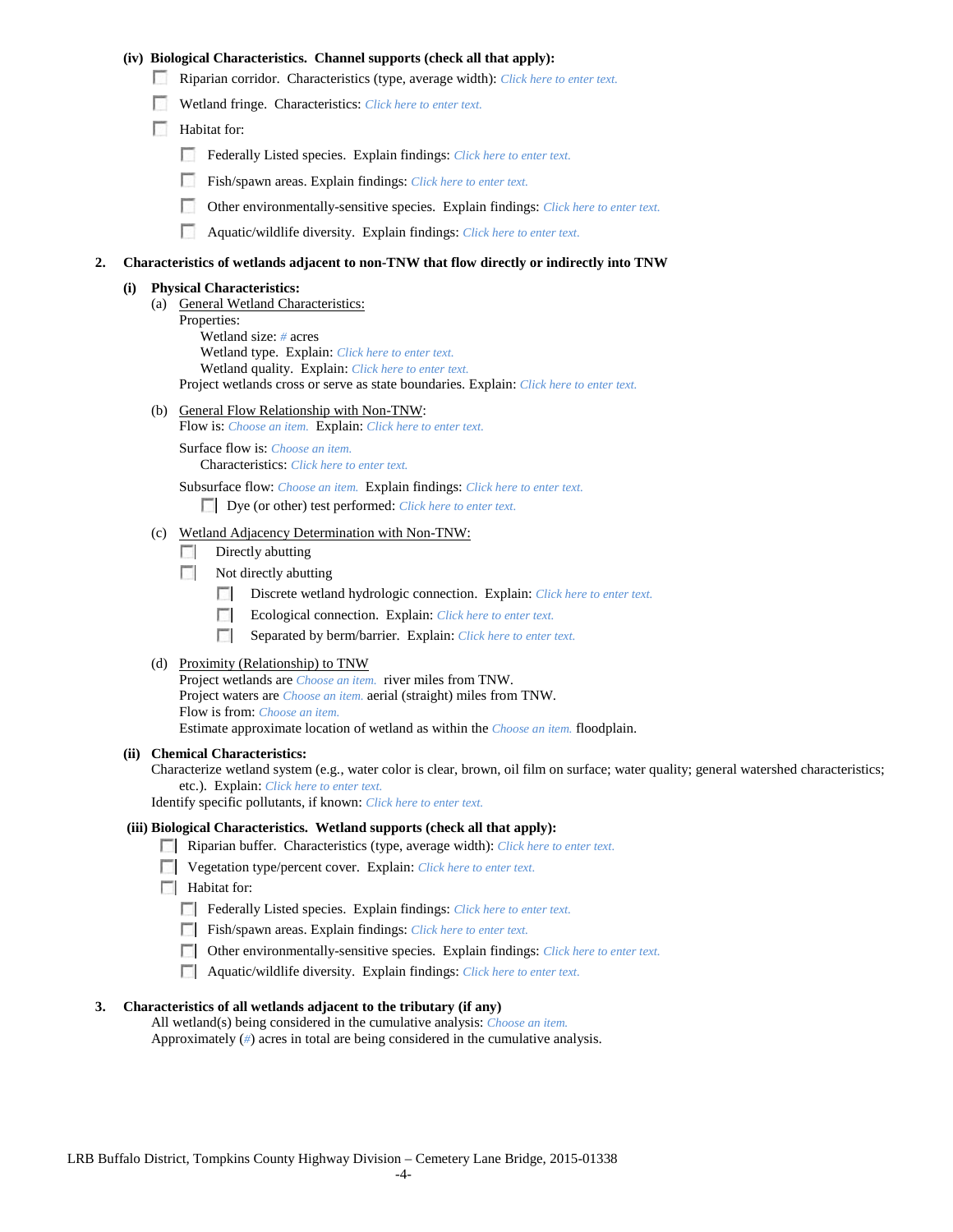## **(iv) Biological Characteristics. Channel supports (check all that apply):**

- Riparian corridor. Characteristics (type, average width): *Click here to enter text.*
- Wetland fringe. Characteristics: *Click here to enter text.*
- Habitat for:
	- Federally Listed species. Explain findings: *Click here to enter text.*
	- Fish/spawn areas. Explain findings: *Click here to enter text.*
	- Other environmentally-sensitive species. Explain findings: *Click here to enter text.* п.
	- n Aquatic/wildlife diversity. Explain findings: *Click here to enter text.*

#### **2. Characteristics of wetlands adjacent to non-TNW that flow directly or indirectly into TNW**

#### **(i) Physical Characteristics:**

- (a) General Wetland Characteristics:
	- Properties:

Wetland size: *#* acres Wetland type. Explain: *Click here to enter text.*

Wetland quality. Explain: *Click here to enter text.*

Project wetlands cross or serve as state boundaries. Explain: *Click here to enter text.*

(b) General Flow Relationship with Non-TNW: Flow is: *Choose an item.* Explain: *Click here to enter text.*

Surface flow is: *Choose an item.* Characteristics: *Click here to enter text.*

Subsurface flow: *Choose an item.* Explain findings: *Click here to enter text.*

Dye (or other) test performed: *Click here to enter text.*

#### (c) Wetland Adjacency Determination with Non-TNW:

- $\Box$  Directly abutting
- Not directly abutting
	- 100 Discrete wetland hydrologic connection. Explain: *Click here to enter text.*
	- Ecological connection. Explain: *Click here to enter text.* **The Contract of the Contract of the Contract of the Contract of the Contract of the Contract of the Contract of the Contract of the Contract of the Contract of the Contract of the Contract of the Contract of the Contract**
	- $\sim$ Separated by berm/barrier. Explain: *Click here to enter text.*
- (d) Proximity (Relationship) to TNW

Project wetlands are *Choose an item.* river miles from TNW. Project waters are *Choose an item.* aerial (straight) miles from TNW. Flow is from: *Choose an item.* Estimate approximate location of wetland as within the *Choose an item.* floodplain.

#### **(ii) Chemical Characteristics:**

Characterize wetland system (e.g., water color is clear, brown, oil film on surface; water quality; general watershed characteristics; etc.). Explain: *Click here to enter text.*

Identify specific pollutants, if known: *Click here to enter text.*

## **(iii) Biological Characteristics. Wetland supports (check all that apply):**

- Riparian buffer. Characteristics (type, average width): *Click here to enter text.*
- Vegetation type/percent cover. Explain: *Click here to enter text.*
- $\Box$  Habitat for:
	- Federally Listed species. Explain findings: *Click here to enter text*.
	- Fish/spawn areas. Explain findings: *Click here to enter text.*
	- Other environmentally-sensitive species. Explain findings: *Click here to enter text.*
	- Aquatic/wildlife diversity. Explain findings: *Click here to enter text.*

#### **3. Characteristics of all wetlands adjacent to the tributary (if any)**

All wetland(s) being considered in the cumulative analysis: *Choose an item.* Approximately (*#*) acres in total are being considered in the cumulative analysis.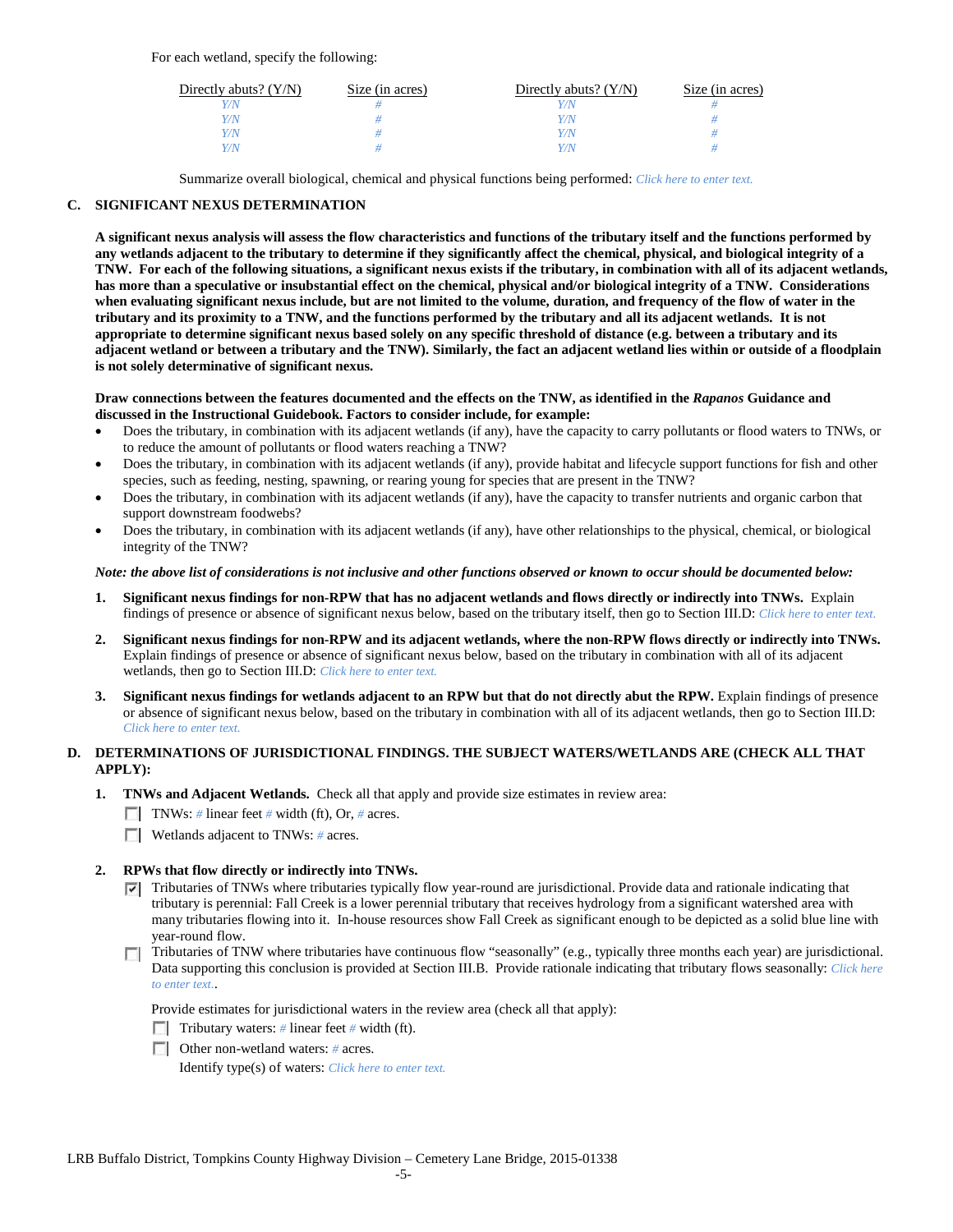For each wetland, specify the following:

| Directly abuts? $(Y/N)$ | Size (in acres) | Directly abuts? $(Y/N)$ | Size (in acres) |
|-------------------------|-----------------|-------------------------|-----------------|
|                         |                 | Y/N                     |                 |
| V/N                     |                 | Y/N                     |                 |
| V/N                     |                 | Y/N                     |                 |
|                         |                 | Y/N                     |                 |

Summarize overall biological, chemical and physical functions being performed: *Click here to enter text.*

## **C. SIGNIFICANT NEXUS DETERMINATION**

**A significant nexus analysis will assess the flow characteristics and functions of the tributary itself and the functions performed by any wetlands adjacent to the tributary to determine if they significantly affect the chemical, physical, and biological integrity of a TNW. For each of the following situations, a significant nexus exists if the tributary, in combination with all of its adjacent wetlands, has more than a speculative or insubstantial effect on the chemical, physical and/or biological integrity of a TNW. Considerations when evaluating significant nexus include, but are not limited to the volume, duration, and frequency of the flow of water in the tributary and its proximity to a TNW, and the functions performed by the tributary and all its adjacent wetlands. It is not appropriate to determine significant nexus based solely on any specific threshold of distance (e.g. between a tributary and its adjacent wetland or between a tributary and the TNW). Similarly, the fact an adjacent wetland lies within or outside of a floodplain is not solely determinative of significant nexus.** 

### **Draw connections between the features documented and the effects on the TNW, as identified in the** *Rapanos* **Guidance and discussed in the Instructional Guidebook. Factors to consider include, for example:**

- Does the tributary, in combination with its adjacent wetlands (if any), have the capacity to carry pollutants or flood waters to TNWs, or to reduce the amount of pollutants or flood waters reaching a TNW?
- Does the tributary, in combination with its adjacent wetlands (if any), provide habitat and lifecycle support functions for fish and other species, such as feeding, nesting, spawning, or rearing young for species that are present in the TNW?
- Does the tributary, in combination with its adjacent wetlands (if any), have the capacity to transfer nutrients and organic carbon that support downstream foodwebs?
- Does the tributary, in combination with its adjacent wetlands (if any), have other relationships to the physical, chemical, or biological integrity of the TNW?

### *Note: the above list of considerations is not inclusive and other functions observed or known to occur should be documented below:*

- **1. Significant nexus findings for non-RPW that has no adjacent wetlands and flows directly or indirectly into TNWs.** Explain findings of presence or absence of significant nexus below, based on the tributary itself, then go to Section III.D: *Click here to enter text.*
- **2. Significant nexus findings for non-RPW and its adjacent wetlands, where the non-RPW flows directly or indirectly into TNWs.**  Explain findings of presence or absence of significant nexus below, based on the tributary in combination with all of its adjacent wetlands, then go to Section III.D: *Click here to enter text.*
- **3. Significant nexus findings for wetlands adjacent to an RPW but that do not directly abut the RPW.** Explain findings of presence or absence of significant nexus below, based on the tributary in combination with all of its adjacent wetlands, then go to Section III.D: *Click here to enter text.*

# **D. DETERMINATIONS OF JURISDICTIONAL FINDINGS. THE SUBJECT WATERS/WETLANDS ARE (CHECK ALL THAT APPLY):**

- **1. TNWs and Adjacent Wetlands.** Check all that apply and provide size estimates in review area:
	- TNWs: *#* linear feet *#* width (ft), Or, *#* acres.
	- **Wetlands adjacent to TNWs:** # acres.

## **2. RPWs that flow directly or indirectly into TNWs.**

- $\nabla$  Tributaries of TNWs where tributaries typically flow year-round are jurisdictional. Provide data and rationale indicating that tributary is perennial: Fall Creek is a lower perennial tributary that receives hydrology from a significant watershed area with many tributaries flowing into it. In-house resources show Fall Creek as significant enough to be depicted as a solid blue line with year-round flow.
- Tributaries of TNW where tributaries have continuous flow "seasonally" (e.g., typically three months each year) are jurisdictional. Data supporting this conclusion is provided at Section III.B. Provide rationale indicating that tributary flows seasonally: *Click here to enter text.*.

Provide estimates for jurisdictional waters in the review area (check all that apply):

- Tributary waters: # linear feet # width (ft).
- Other non-wetland waters: *#* acres.

Identify type(s) of waters: *Click here to enter text.*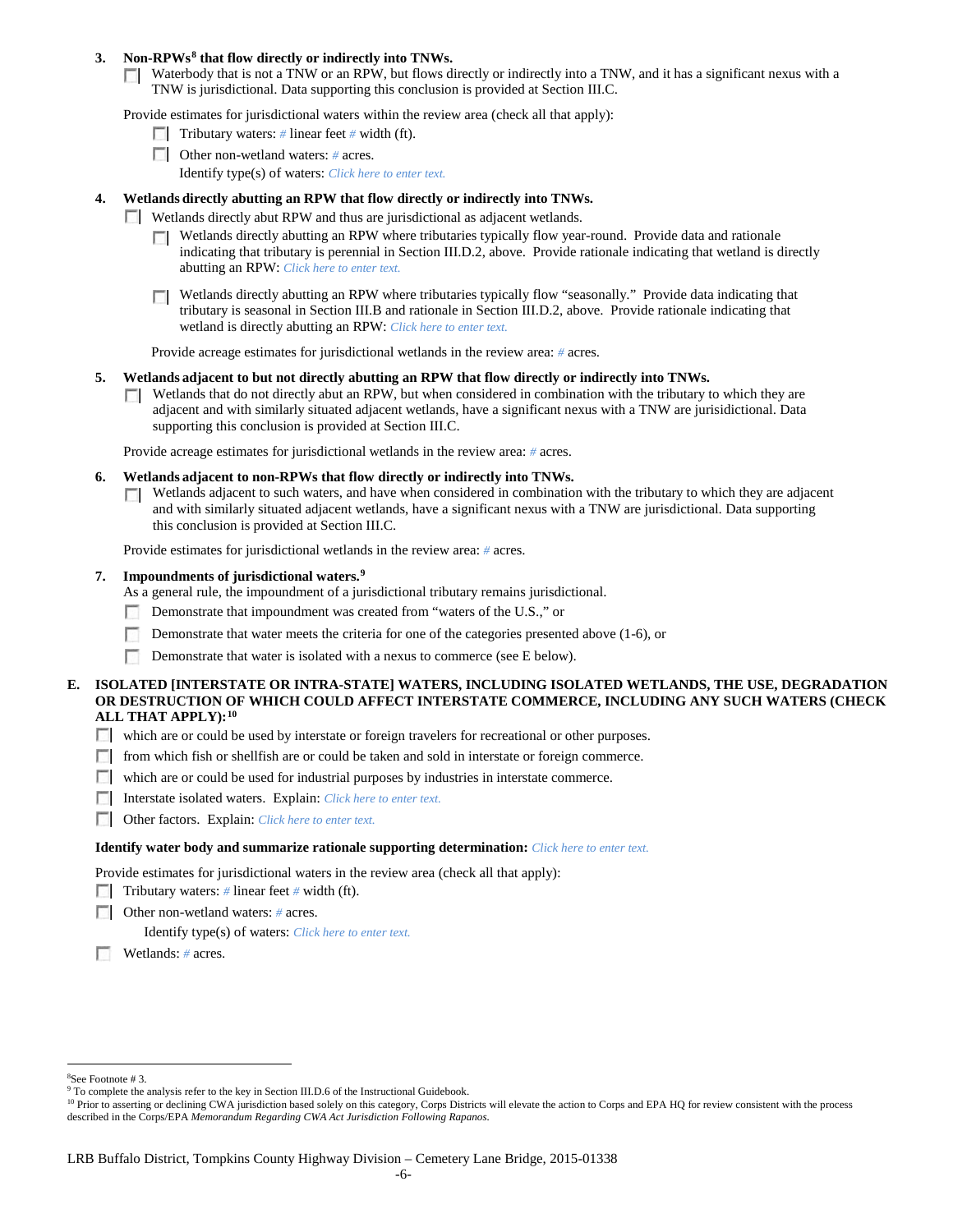## **3. Non-RPWs[8](#page-5-0) that flow directly or indirectly into TNWs.**

Waterbody that is not a TNW or an RPW, but flows directly or indirectly into a TNW, and it has a significant nexus with a TNW is jurisdictional. Data supporting this conclusion is provided at Section III.C.

Provide estimates for jurisdictional waters within the review area (check all that apply):

- **Tributary waters:** # linear feet # width (ft).
- Other non-wetland waters: *#* acres. Identify type(s) of waters: *Click here to enter text.*
- **4. Wetlands directly abutting an RPW that flow directly or indirectly into TNWs.**
	- **Wetlands directly abut RPW and thus are jurisdictional as adjacent wetlands.** 
		- $\Box$  Wetlands directly abutting an RPW where tributaries typically flow year-round. Provide data and rationale indicating that tributary is perennial in Section III.D.2, above. Provide rationale indicating that wetland is directly abutting an RPW: *Click here to enter text.*
		- Wetlands directly abutting an RPW where tributaries typically flow "seasonally." Provide data indicating that tributary is seasonal in Section III.B and rationale in Section III.D.2, above. Provide rationale indicating that wetland is directly abutting an RPW: *Click here to enter text.*

Provide acreage estimates for jurisdictional wetlands in the review area: *#* acres.

- **5. Wetlands adjacent to but not directly abutting an RPW that flow directly or indirectly into TNWs.**
	- $\Box$  Wetlands that do not directly abut an RPW, but when considered in combination with the tributary to which they are adjacent and with similarly situated adjacent wetlands, have a significant nexus with a TNW are jurisidictional. Data supporting this conclusion is provided at Section III.C.

Provide acreage estimates for jurisdictional wetlands in the review area: *#* acres.

- **6. Wetlands adjacent to non-RPWs that flow directly or indirectly into TNWs.** 
	- Wetlands adjacent to such waters, and have when considered in combination with the tributary to which they are adjacent **TO** and with similarly situated adjacent wetlands, have a significant nexus with a TNW are jurisdictional. Data supporting this conclusion is provided at Section III.C.

Provide estimates for jurisdictional wetlands in the review area: *#* acres.

### **7. Impoundments of jurisdictional waters. [9](#page-5-1)**

As a general rule, the impoundment of a jurisdictional tributary remains jurisdictional.

- Demonstrate that impoundment was created from "waters of the U.S.," or
- Demonstrate that water meets the criteria for one of the categories presented above (1-6), or
- n Demonstrate that water is isolated with a nexus to commerce (see E below).
- **E. ISOLATED [INTERSTATE OR INTRA-STATE] WATERS, INCLUDING ISOLATED WETLANDS, THE USE, DEGRADATION OR DESTRUCTION OF WHICH COULD AFFECT INTERSTATE COMMERCE, INCLUDING ANY SUCH WATERS (CHECK ALL THAT APPLY):[10](#page-5-2)**
	- which are or could be used by interstate or foreign travelers for recreational or other purposes.
	- from which fish or shellfish are or could be taken and sold in interstate or foreign commerce.
	- which are or could be used for industrial purposes by industries in interstate commerce.
	- Interstate isolated waters.Explain: *Click here to enter text.*
	- Other factors.Explain: *Click here to enter text.*

#### **Identify water body and summarize rationale supporting determination:** *Click here to enter text.*

Provide estimates for jurisdictional waters in the review area (check all that apply):

- Tributary waters: # linear feet # width (ft).
- Other non-wetland waters: *#* acres.

Identify type(s) of waters: *Click here to enter text.*

Wetlands: *#* acres.

 $\frac{1}{8}$ 

<span id="page-5-1"></span><span id="page-5-0"></span><sup>&</sup>lt;sup>8</sup>See Footnote # 3.<br><sup>9</sup> To complete the analysis refer to the key in Section III.D.6 of the Instructional Guidebook.

<span id="page-5-2"></span><sup>&</sup>lt;sup>10</sup> Prior to asserting or declining CWA jurisdiction based solely on this category, Corps Districts will elevate the action to Corps and EPA HQ for review consistent with the process described in the Corps/EPA *Memorandum Regarding CWA Act Jurisdiction Following Rapanos.*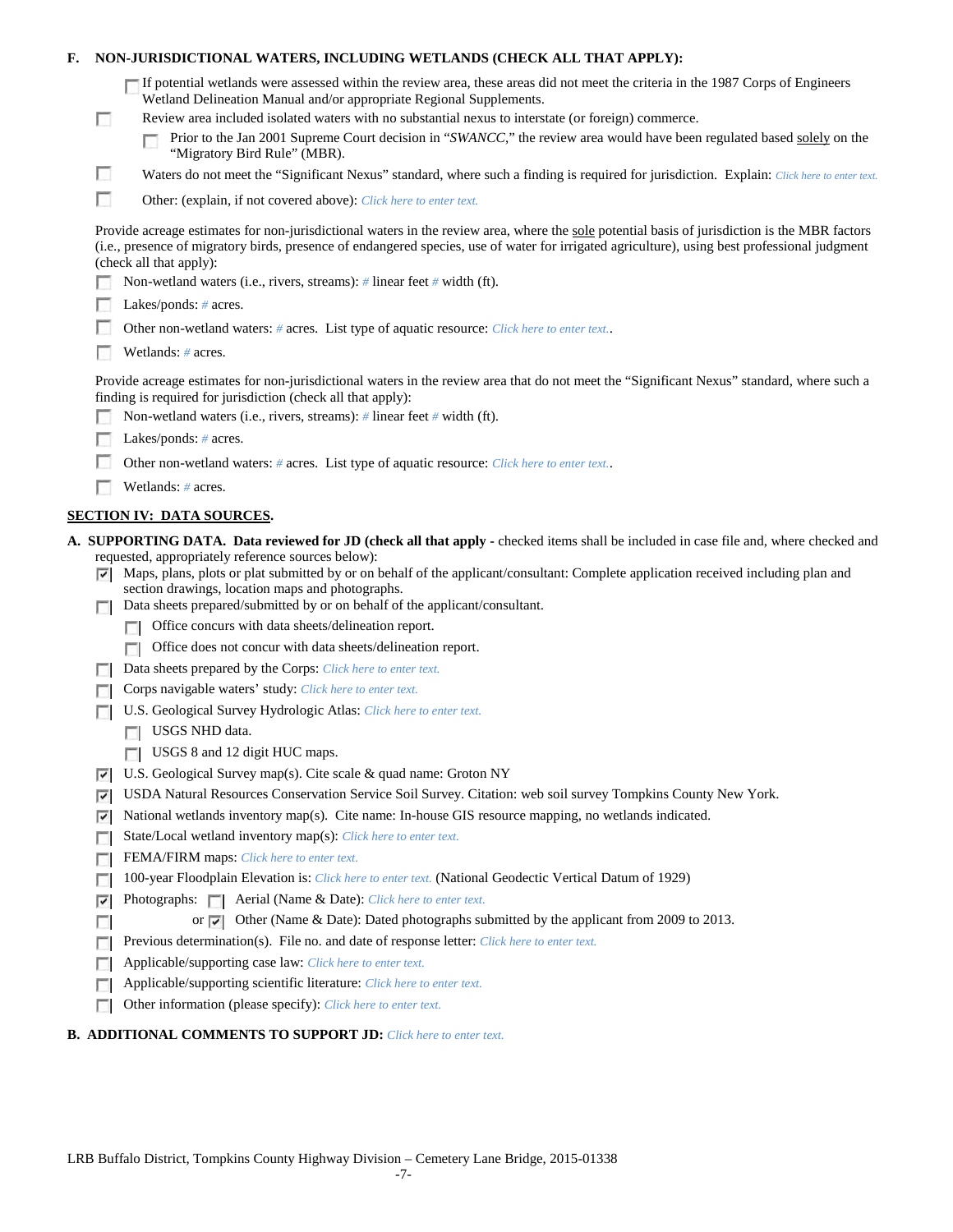| F.                 |                                                                                            | NON-JURISDICTIONAL WATERS, INCLUDING WETLANDS (CHECK ALL THAT APPLY):                                                                                                                                                                                                                                                                                                                                                                                                                                                                                                                     |  |  |  |  |  |  |
|--------------------|--------------------------------------------------------------------------------------------|-------------------------------------------------------------------------------------------------------------------------------------------------------------------------------------------------------------------------------------------------------------------------------------------------------------------------------------------------------------------------------------------------------------------------------------------------------------------------------------------------------------------------------------------------------------------------------------------|--|--|--|--|--|--|
|                    | n                                                                                          | If potential wetlands were assessed within the review area, these areas did not meet the criteria in the 1987 Corps of Engineers<br>Wetland Delineation Manual and/or appropriate Regional Supplements.<br>Review area included isolated waters with no substantial nexus to interstate (or foreign) commerce.<br>Prior to the Jan 2001 Supreme Court decision in "SWANCC," the review area would have been regulated based solely on the<br>"Migratory Bird Rule" (MBR).                                                                                                                 |  |  |  |  |  |  |
|                    | o                                                                                          | Waters do not meet the "Significant Nexus" standard, where such a finding is required for jurisdiction. Explain: Click here to enter text.                                                                                                                                                                                                                                                                                                                                                                                                                                                |  |  |  |  |  |  |
|                    | г                                                                                          | Other: (explain, if not covered above): Click here to enter text.                                                                                                                                                                                                                                                                                                                                                                                                                                                                                                                         |  |  |  |  |  |  |
|                    |                                                                                            |                                                                                                                                                                                                                                                                                                                                                                                                                                                                                                                                                                                           |  |  |  |  |  |  |
|                    |                                                                                            | Provide acreage estimates for non-jurisdictional waters in the review area, where the sole potential basis of jurisdiction is the MBR factors<br>(i.e., presence of migratory birds, presence of endangered species, use of water for irrigated agriculture), using best professional judgment<br>(check all that apply):                                                                                                                                                                                                                                                                 |  |  |  |  |  |  |
|                    |                                                                                            | Non-wetland waters (i.e., rivers, streams): # linear feet # width (ft).                                                                                                                                                                                                                                                                                                                                                                                                                                                                                                                   |  |  |  |  |  |  |
|                    |                                                                                            | Lakes/ponds: $# \, \text{acres.}$                                                                                                                                                                                                                                                                                                                                                                                                                                                                                                                                                         |  |  |  |  |  |  |
|                    | Other non-wetland waters: # acres. List type of aquatic resource: Click here to enter text |                                                                                                                                                                                                                                                                                                                                                                                                                                                                                                                                                                                           |  |  |  |  |  |  |
| Wetlands: # acres. |                                                                                            |                                                                                                                                                                                                                                                                                                                                                                                                                                                                                                                                                                                           |  |  |  |  |  |  |
|                    |                                                                                            | Provide acreage estimates for non-jurisdictional waters in the review area that do not meet the "Significant Nexus" standard, where such a<br>finding is required for jurisdiction (check all that apply):<br>Non-wetland waters (i.e., rivers, streams): $\#$ linear feet $\#$ width (ft).                                                                                                                                                                                                                                                                                               |  |  |  |  |  |  |
|                    |                                                                                            | Lakes/ponds: # acres.                                                                                                                                                                                                                                                                                                                                                                                                                                                                                                                                                                     |  |  |  |  |  |  |
|                    |                                                                                            | Other non-wetland waters: # acres. List type of aquatic resource: Click here to enter text                                                                                                                                                                                                                                                                                                                                                                                                                                                                                                |  |  |  |  |  |  |
|                    |                                                                                            | Wetlands: # acres.                                                                                                                                                                                                                                                                                                                                                                                                                                                                                                                                                                        |  |  |  |  |  |  |
|                    |                                                                                            | <b>SECTION IV: DATA SOURCES.</b>                                                                                                                                                                                                                                                                                                                                                                                                                                                                                                                                                          |  |  |  |  |  |  |
|                    | ⊽<br>п                                                                                     | A. SUPPORTING DATA. Data reviewed for JD (check all that apply - checked items shall be included in case file and, where checked and<br>requested, appropriately reference sources below):<br>Maps, plans, plots or plat submitted by or on behalf of the applicant/consultant: Complete application received including plan and<br>section drawings, location maps and photographs.<br>Data sheets prepared/submitted by or on behalf of the applicant/consultant.<br>Office concurs with data sheets/delineation report.<br>Office does not concur with data sheets/delineation report. |  |  |  |  |  |  |
|                    |                                                                                            | Data sheets prepared by the Corps: Click here to enter text.                                                                                                                                                                                                                                                                                                                                                                                                                                                                                                                              |  |  |  |  |  |  |
|                    |                                                                                            | Corps navigable waters' study: Click here to enter text.                                                                                                                                                                                                                                                                                                                                                                                                                                                                                                                                  |  |  |  |  |  |  |
|                    |                                                                                            | U.S. Geological Survey Hydrologic Atlas: Click here to enter text.                                                                                                                                                                                                                                                                                                                                                                                                                                                                                                                        |  |  |  |  |  |  |
|                    |                                                                                            | USGS NHD data.                                                                                                                                                                                                                                                                                                                                                                                                                                                                                                                                                                            |  |  |  |  |  |  |
|                    |                                                                                            | USGS 8 and 12 digit HUC maps.                                                                                                                                                                                                                                                                                                                                                                                                                                                                                                                                                             |  |  |  |  |  |  |
|                    | ⊽                                                                                          | U.S. Geological Survey map(s). Cite scale & quad name: Groton NY                                                                                                                                                                                                                                                                                                                                                                                                                                                                                                                          |  |  |  |  |  |  |
|                    | ⊽                                                                                          | USDA Natural Resources Conservation Service Soil Survey. Citation: web soil survey Tompkins County New York.                                                                                                                                                                                                                                                                                                                                                                                                                                                                              |  |  |  |  |  |  |
|                    | ⊽                                                                                          | National wetlands inventory map(s). Cite name: In-house GIS resource mapping, no wetlands indicated.                                                                                                                                                                                                                                                                                                                                                                                                                                                                                      |  |  |  |  |  |  |
|                    | г                                                                                          | State/Local wetland inventory map(s): Click here to enter text.                                                                                                                                                                                                                                                                                                                                                                                                                                                                                                                           |  |  |  |  |  |  |
|                    | п                                                                                          | FEMA/FIRM maps: Click here to enter text.                                                                                                                                                                                                                                                                                                                                                                                                                                                                                                                                                 |  |  |  |  |  |  |
|                    |                                                                                            | 100-year Floodplain Elevation is: Click here to enter text. (National Geodectic Vertical Datum of 1929)                                                                                                                                                                                                                                                                                                                                                                                                                                                                                   |  |  |  |  |  |  |
|                    | ⊽                                                                                          |                                                                                                                                                                                                                                                                                                                                                                                                                                                                                                                                                                                           |  |  |  |  |  |  |
|                    | п                                                                                          | or $\triangledown$ Other (Name & Date): Dated photographs submitted by the applicant from 2009 to 2013.                                                                                                                                                                                                                                                                                                                                                                                                                                                                                   |  |  |  |  |  |  |
|                    |                                                                                            | Previous determination(s). File no. and date of response letter: Click here to enter text.                                                                                                                                                                                                                                                                                                                                                                                                                                                                                                |  |  |  |  |  |  |
|                    |                                                                                            |                                                                                                                                                                                                                                                                                                                                                                                                                                                                                                                                                                                           |  |  |  |  |  |  |
|                    |                                                                                            | Applicable/supporting case law: Click here to enter text.                                                                                                                                                                                                                                                                                                                                                                                                                                                                                                                                 |  |  |  |  |  |  |
|                    | г                                                                                          | Applicable/supporting scientific literature: Click here to enter text.<br>Other information (please specify): Click here to enter text.                                                                                                                                                                                                                                                                                                                                                                                                                                                   |  |  |  |  |  |  |

## **B. ADDITIONAL COMMENTS TO SUPPORT JD:** *Click here to enter text.*